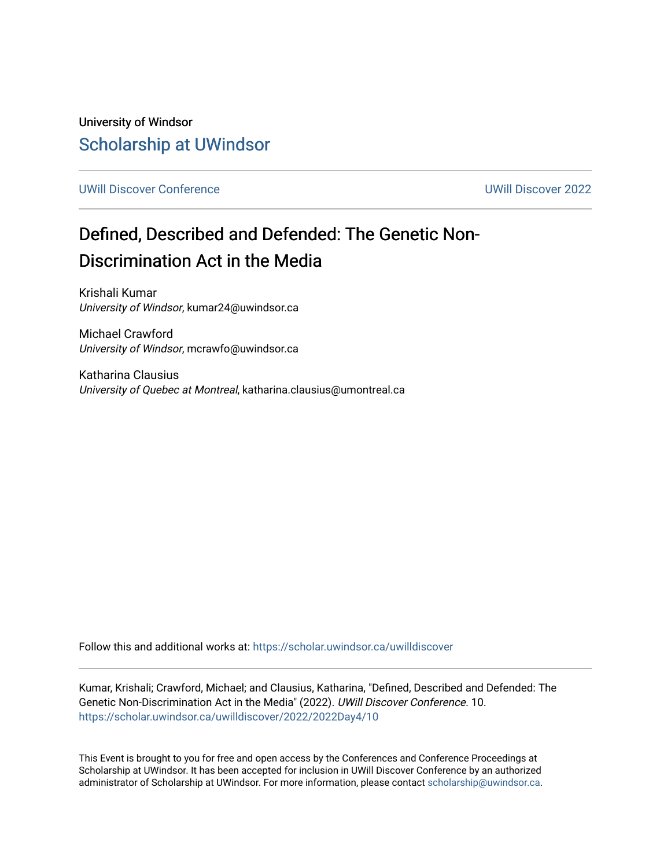University of Windsor [Scholarship at UWindsor](https://scholar.uwindsor.ca/) 

[UWill Discover Conference](https://scholar.uwindsor.ca/uwilldiscover) [UWill Discover 2022](https://scholar.uwindsor.ca/uwilldiscover/2022) 

# Defined, Described and Defended: The Genetic Non-Discrimination Act in the Media

Krishali Kumar University of Windsor, kumar24@uwindsor.ca

Michael Crawford University of Windsor, mcrawfo@uwindsor.ca

Katharina Clausius University of Quebec at Montreal, katharina.clausius@umontreal.ca

Follow this and additional works at: [https://scholar.uwindsor.ca/uwilldiscover](https://scholar.uwindsor.ca/uwilldiscover?utm_source=scholar.uwindsor.ca%2Fuwilldiscover%2F2022%2F2022Day4%2F10&utm_medium=PDF&utm_campaign=PDFCoverPages) 

Kumar, Krishali; Crawford, Michael; and Clausius, Katharina, "Defined, Described and Defended: The Genetic Non-Discrimination Act in the Media" (2022). UWill Discover Conference. 10. [https://scholar.uwindsor.ca/uwilldiscover/2022/2022Day4/10](https://scholar.uwindsor.ca/uwilldiscover/2022/2022Day4/10?utm_source=scholar.uwindsor.ca%2Fuwilldiscover%2F2022%2F2022Day4%2F10&utm_medium=PDF&utm_campaign=PDFCoverPages) 

This Event is brought to you for free and open access by the Conferences and Conference Proceedings at Scholarship at UWindsor. It has been accepted for inclusion in UWill Discover Conference by an authorized administrator of Scholarship at UWindsor. For more information, please contact [scholarship@uwindsor.ca](mailto:scholarship@uwindsor.ca).